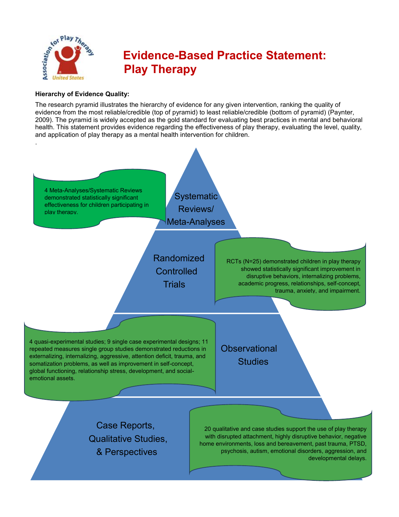

# **Evidence-Based Practice Statement: Play Therapy**

## **Hierarchy of Evidence Quality:**

The research pyramid illustrates the hierarchy of evidence for any given intervention, ranking the quality of evidence from the most reliable/credible (top of pyramid) to least reliable/credible (bottom of pyramid) (Paynter, 2009). The pyramid is widely accepted as the gold standard for evaluating best practices in mental and behavioral health. This statement provides evidence regarding the effectiveness of play therapy, evaluating the level, quality, and application of play therapy as a mental health intervention for children.

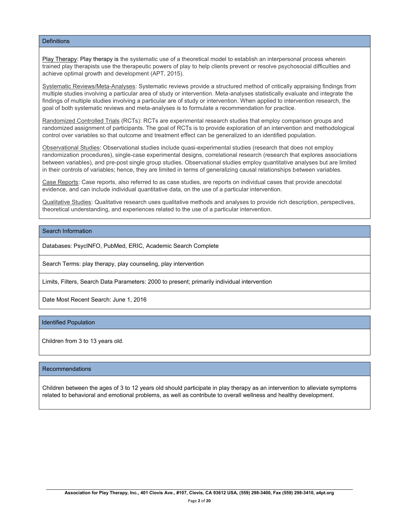#### **Definitions**

Play Therapy: Play therapy is the systematic use of a theoretical model to establish an interpersonal process wherein trained play therapists use the therapeutic powers of play to help clients prevent or resolve psychosocial difficulties and achieve optimal growth and development (APT, 2015).

Systematic Reviews/Meta-Analyses: Systematic reviews provide a structured method of critically appraising findings from multiple studies involving a particular area of study or intervention. Meta-analyses statistically evaluate and integrate the findings of multiple studies involving a particular are of study or intervention. When applied to intervention research, the goal of both systematic reviews and meta-analyses is to formulate a recommendation for practice.

Randomized Controlled Trials (RCTs): RCTs are experimental research studies that employ comparison groups and randomized assignment of participants. The goal of RCTs is to provide exploration of an intervention and methodological control over variables so that outcome and treatment effect can be generalized to an identified population.

Observational Studies: Observational studies include quasi-experimental studies (research that does not employ randomization procedures), single-case experimental designs, correlational research (research that explores associations between variables), and pre-post single group studies. Observational studies employ quantitative analyses but are limited in their controls of variables; hence, they are limited in terms of generalizing causal relationships between variables.

Case Reports: Case reports, also referred to as case studies, are reports on individual cases that provide anecdotal evidence, and can include individual quantitative data, on the use of a particular intervention.

Qualitative Studies: Qualitative research uses qualitative methods and analyses to provide rich description, perspectives, theoretical understanding, and experiences related to the use of a particular intervention.

## Search Information

Databases: PsycINFO, PubMed, ERIC, Academic Search Complete

Search Terms: play therapy, play counseling, play intervention

Limits, Filters, Search Data Parameters: 2000 to present; primarily individual intervention

Date Most Recent Search: June 1, 2016

#### Identified Population

Children from 3 to 13 years old.

#### Recommendations

Children between the ages of 3 to 12 years old should participate in play therapy as an intervention to alleviate symptoms related to behavioral and emotional problems, as well as contribute to overall wellness and healthy development.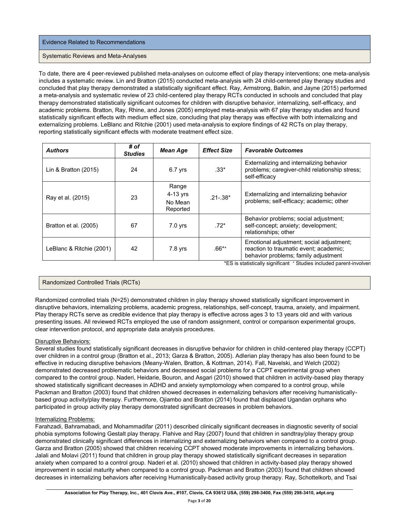#### Evidence Related to Recommendations

#### Systematic Reviews and Meta-Analyses

To date, there are 4 peer-reviewed published meta-analyses on outcome effect of play therapy interventions; one meta-analysis includes a systematic review. Lin and Bratton (2015) conducted meta-analysis with 24 child-centered play therapy studies and concluded that play therapy demonstrated a statistically significant effect. Ray, Armstrong, Balkin, and Jayne (2015) performed a meta-analysis and systematic review of 23 child-centered play therapy RCTs conducted in schools and concluded that play therapy demonstrated statistically significant outcomes for children with disruptive behavior, internalizing, self-efficacy, and academic problems. Bratton, Ray, Rhine, and Jones (2005) employed meta-analysis with 67 play therapy studies and found statistically significant effects with medium effect size, concluding that play therapy was effective with both internalizing and externalizing problems. LeBlanc and Ritchie (2001) used meta-analysis to explore findings of 42 RCTs on play therapy, reporting statistically significant effects with moderate treatment effect size.

| <b>Authors</b>           | # of<br><b>Studies</b> | Mean Age                                   | <b>Effect Size</b> | <b>Favorable Outcomes</b>                                                                                                  |
|--------------------------|------------------------|--------------------------------------------|--------------------|----------------------------------------------------------------------------------------------------------------------------|
| Lin & Bratton $(2015)$   | 24                     | $6.7$ yrs                                  | $.33*$             | Externalizing and internalizing behavior<br>problems; caregiver-child relationship stress;<br>self-efficacy                |
| Ray et al. (2015)        | 23                     | Range<br>$4-13$ yrs<br>No Mean<br>Reported | $.21 - .38*$       | Externalizing and internalizing behavior<br>problems; self-efficacy; academic; other                                       |
| Bratton et al. (2005)    | 67                     | $7.0$ yrs                                  | $.72*$             | Behavior problems; social adjustment;<br>self-concept; anxiety; development;<br>relationships; other                       |
| LeBlanc & Ritchie (2001) | 42                     | 7.8 yrs                                    | $.66^{**}$         | Emotional adjustment; social adjustment;<br>reaction to traumatic event; academic;<br>behavior problems; family adjustment |

## Randomized Controlled Trials (RCTs)

Randomized controlled trials (N=25) demonstrated children in play therapy showed statistically significant improvement in disruptive behaviors, internalizing problems, academic progress, relationships, self-concept, trauma, anxiety, and impairment. Play therapy RCTs serve as credible evidence that play therapy is effective across ages 3 to 13 years old and with various presenting issues. All reviewed RCTs employed the use of random assignment, control or comparison experimental groups, clear intervention protocol, and appropriate data analysis procedures.

## Disruptive Behaviors:

Several studies found statistically significant decreases in disruptive behavior for children in child-centered play therapy (CCPT) over children in a control group (Bratton et al., 2013; Garza & Bratton, 2005). Adlerian play therapy has also been found to be effective in reducing disruptive behaviors (Meany-Walen, Bratton, & Kottman, 2014). Fall, Navelski, and Welch (2002) demonstrated decreased problematic behaviors and decreased social problems for a CCPT experimental group when compared to the control group. Naderi, Heidarie, Bouron, and Asgari (2010) showed that children in activity-based play therapy showed statistically significant decreases in ADHD and anxiety symptomology when compared to a control group, while Packman and Bratton (2003) found that children showed decreases in externalizing behaviors after receiving humanisticallybased group activity/play therapy. Furthermore, Ojiambo and Bratton (2014) found that displaced Ugandan orphans who participated in group activity play therapy demonstrated significant decreases in problem behaviors.

#### Internalizing Problems:

Farahzadi, Bahramabadi, and Mohammadifar (2011) described clinically significant decreases in diagnostic severity of social phobia symptoms following Gestalt play therapy. Flahive and Ray (2007) found that children in sandtray/play therapy group demonstrated clinically significant differences in internalizing and externalizing behaviors when compared to a control group. Garza and Bratton (2005) showed that children receiving CCPT showed moderate improvements in internalizing behaviors. Jalali and Molavi (2011) found that children in group play therapy showed statistically significant decreases in separation anxiety when compared to a control group. Naderi et al. (2010) showed that children in activity-based play therapy showed improvement in social maturity when compared to a control group. Packman and Bratton (2003) found that children showed decreases in internalizing behaviors after receiving Humanistically-based activity group therapy. Ray, Schottelkorb, and Tsai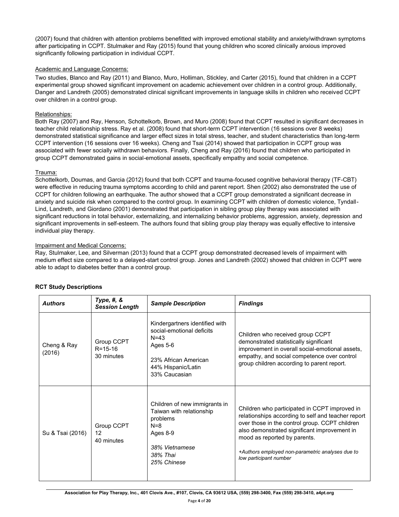(2007) found that children with attention problems benefitted with improved emotional stability and anxiety/withdrawn symptoms after participating in CCPT. Stulmaker and Ray (2015) found that young children who scored clinically anxious improved significantly following participation in individual CCPT.

## Academic and Language Concerns:

Two studies, Blanco and Ray (2011) and Blanco, Muro, Holliman, Stickley, and Carter (2015), found that children in a CCPT experimental group showed significant improvement on academic achievement over children in a control group. Additionally, Danger and Landreth (2005) demonstrated clinical significant improvements in language skills in children who received CCPT over children in a control group.

#### Relationships:

Both Ray (2007) and Ray, Henson, Schottelkorb, Brown, and Muro (2008) found that CCPT resulted in significant decreases in teacher child relationship stress. Ray et al. (2008) found that short-term CCPT intervention (16 sessions over 8 weeks) demonstrated statistical significance and larger effect sizes in total stress, teacher, and student characteristics than long-term CCPT intervention (16 sessions over 16 weeks). Cheng and Tsai (2014) showed that participation in CCPT group was associated with fewer socially withdrawn behaviors. Finally, Cheng and Ray (2016) found that children who participated in group CCPT demonstrated gains in social-emotional assets, specifically empathy and social competence.

## Trauma:

Schottelkorb, Doumas, and Garcia (2012) found that both CCPT and trauma-focused cognitive behavioral therapy (TF-CBT) were effective in reducing trauma symptoms according to child and parent report. Shen (2002) also demonstrated the use of CCPT for children following an earthquake. The author showed that a CCPT group demonstrated a significant decrease in anxiety and suicide risk when compared to the control group. In examining CCPT with children of domestic violence, Tyndall-Lind, Landreth, and Giordano (2001) demonstrated that participation in sibling group play therapy was associated with significant reductions in total behavior, externalizing, and internalizing behavior problems, aggression, anxiety, depression and significant improvements in self-esteem. The authors found that sibling group play therapy was equally effective to intensive individual play therapy.

#### Impairment and Medical Concerns:

Ray, Stulmaker, Lee, and Silverman (2013) found that a CCPT group demonstrated decreased levels of impairment with medium effect size compared to a delayed-start control group. Jones and Landreth (2002) showed that children in CCPT were able to adapt to diabetes better than a control group.

| <b>Authors</b>        | Type, #, $&$<br><b>Session Length</b>     | <b>Sample Description</b>                                                                                                                          | <b>Findings</b>                                                                                                                                                                                                                                                                                                     |  |
|-----------------------|-------------------------------------------|----------------------------------------------------------------------------------------------------------------------------------------------------|---------------------------------------------------------------------------------------------------------------------------------------------------------------------------------------------------------------------------------------------------------------------------------------------------------------------|--|
| Cheng & Ray<br>(2016) | Group CCPT<br>$R = 15 - 16$<br>30 minutes | Kindergartners identified with<br>social-emotional deficits<br>$N = 43$<br>Ages 5-6<br>23% African American<br>44% Hispanic/Latin<br>33% Caucasian | Children who received group CCPT<br>demonstrated statistically significant<br>improvement in overall social-emotional assets,<br>empathy, and social competence over control<br>group children according to parent report.                                                                                          |  |
| Su & Tsai (2016)      | Group CCPT<br>12<br>40 minutes            | Children of new immigrants in<br>Taiwan with relationship<br>problems<br>$N = 8$<br>Ages 8-9<br>38% Vietnamese<br>38% Thai<br>25% Chinese          | Children who participated in CCPT improved in<br>relationships according to self and teacher report<br>over those in the control group. CCPT children<br>also demonstrated significant improvement in<br>mood as reported by parents.<br>+Authors employed non-parametric analyses due to<br>low participant number |  |

## **RCT Study Descriptions**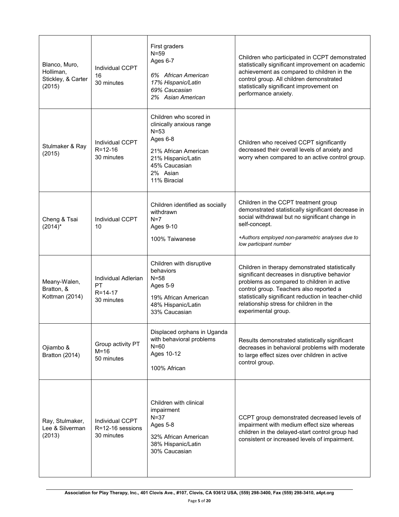| Blanco, Muro,<br>Holliman,<br>Stickley, & Carter<br>(2015) | <b>Individual CCPT</b><br>16<br>30 minutes               | First graders<br>$N = 59$<br>Ages 6-7<br>6% African American<br>17% Hispanic/Latin<br>69% Caucasian<br>2% Asian American                                              | Children who participated in CCPT demonstrated<br>statistically significant improvement on academic<br>achievement as compared to children in the<br>control group. All children demonstrated<br>statistically significant improvement on<br>performance anxiety.                                                 |
|------------------------------------------------------------|----------------------------------------------------------|-----------------------------------------------------------------------------------------------------------------------------------------------------------------------|-------------------------------------------------------------------------------------------------------------------------------------------------------------------------------------------------------------------------------------------------------------------------------------------------------------------|
| Stulmaker & Ray<br>(2015)                                  | <b>Individual CCPT</b><br>$R = 12 - 16$<br>30 minutes    | Children who scored in<br>clinically anxious range<br>$N = 53$<br>Ages 6-8<br>21% African American<br>21% Hispanic/Latin<br>45% Caucasian<br>2% Asian<br>11% Biracial | Children who received CCPT significantly<br>decreased their overall levels of anxiety and<br>worry when compared to an active control group.                                                                                                                                                                      |
| Cheng & Tsai<br>$(2014)^*$                                 | Individual CCPT<br>10                                    | Children identified as socially<br>withdrawn<br>$N=7$<br>Ages 9-10<br>100% Taiwanese                                                                                  | Children in the CCPT treatment group<br>demonstrated statistically significant decrease in<br>social withdrawal but no significant change in<br>self-concept.<br>+Authors employed non-parametric analyses due to<br>low participant number                                                                       |
| Meany-Walen,<br>Bratton, &<br>Kottman (2014)               | Individual Adlerian<br>PT<br>$R = 14 - 17$<br>30 minutes | Children with disruptive<br>behaviors<br>$N = 58$<br>Ages 5-9<br>19% African American<br>48% Hispanic/Latin<br>33% Caucasian                                          | Children in therapy demonstrated statistically<br>significant decreases in disruptive behavior<br>problems as compared to children in active<br>control group. Teachers also reported a<br>statistically significant reduction in teacher-child<br>relationship stress for children in the<br>experimental group. |
| Ojiambo &<br>Bratton (2014)                                | Group activity PT<br>$M = 16$<br>50 minutes              | Displaced orphans in Uganda<br>with behavioral problems<br>$N = 60$<br>Ages 10-12<br>100% African                                                                     | Results demonstrated statistically significant<br>decreases in behavioral problems with moderate<br>to large effect sizes over children in active<br>control group.                                                                                                                                               |
| Ray, Stulmaker,<br>Lee & Silverman<br>(2013)               | <b>Individual CCPT</b><br>R=12-16 sessions<br>30 minutes | Children with clinical<br>impairment<br>$N = 37$<br>Ages 5-8<br>32% African American<br>38% Hispanic/Latin<br>30% Caucasian                                           | CCPT group demonstrated decreased levels of<br>impairment with medium effect size whereas<br>children in the delayed-start control group had<br>consistent or increased levels of impairment.                                                                                                                     |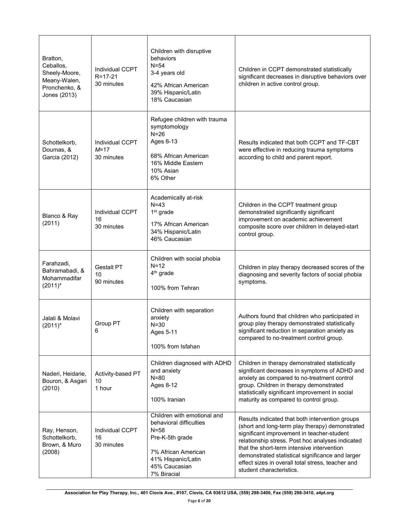| Bratton,<br>Ceballos,<br>Sheely-Moore,<br>Meany-Walen,<br>Pronchenko, &<br>Jones (2013) | Individual CCPT<br>$R = 17 - 21$<br>30 minutes | Children with disruptive<br>behaviors<br>$N = 54$<br>3-4 years old<br>42% African American<br>39% Hispanic/Latin<br>18% Caucasian                              | Children in CCPT demonstrated statistically<br>significant decreases in disruptive behaviors over<br>children in active control group.                                                                                                                                                                                                                                                  |
|-----------------------------------------------------------------------------------------|------------------------------------------------|----------------------------------------------------------------------------------------------------------------------------------------------------------------|-----------------------------------------------------------------------------------------------------------------------------------------------------------------------------------------------------------------------------------------------------------------------------------------------------------------------------------------------------------------------------------------|
| Schottelkorb,<br>Doumas, &<br>Garcia (2012)                                             | Individual CCPT<br>$M = 17$<br>30 minutes      | Refugee children with trauma<br>symptomology<br>$N=26$<br>Ages 6-13<br>68% African American<br>16% Middle Eastern<br>10% Asian<br>6% Other                     | Results indicated that both CCPT and TF-CBT<br>were effective in reducing trauma symptoms<br>according to child and parent report.                                                                                                                                                                                                                                                      |
| Blanco & Ray<br>(2011)                                                                  | Individual CCPT<br>16<br>30 minutes            | Academically at-risk<br>$N=43$<br>$1st$ grade<br>17% African American<br>34% Hispanic/Latin<br>46% Caucasian                                                   | Children in the CCPT treatment group<br>demonstrated significantly significant<br>improvement on academic achievement<br>composite score over children in delayed-start<br>control group.                                                                                                                                                                                               |
| Farahzadi,<br>Bahramabadi, &<br>Mohammadifar<br>$(2011)^*$                              | <b>Gestalt PT</b><br>10<br>90 minutes          | Children with social phobia<br>$N=12$<br>4 <sup>th</sup> grade<br>100% from Tehran                                                                             | Children in play therapy decreased scores of the<br>diagnosing and severity factors of social phobia<br>symptoms.                                                                                                                                                                                                                                                                       |
| Jalali & Molavi<br>$(2011)^*$                                                           | Group PT<br>6                                  | Children with separation<br>anxiety<br>$N = 30$<br>Ages 5-11<br>100% from Isfahan                                                                              | Authors found that children who participated in<br>group play therapy demonstrated statistically<br>significant reduction in separation anxiety as<br>compared to no-treatment control group.                                                                                                                                                                                           |
| Naderi, Heidarie,<br>Bouron, & Asgari<br>(2010)                                         | Activity-based PT<br>10<br>1 hour              | Children diagnosed with ADHD<br>and anxiety<br>$N = 80$<br>Ages 8-12<br>100% Iranian                                                                           | Children in therapy demonstrated statistically<br>significant decreases in symptoms of ADHD and<br>anxiety as compared to no-treatment control<br>group. Children in therapy demonstrated<br>statistically significant improvement in social<br>maturity as compared to control group.                                                                                                  |
| Ray, Henson,<br>Schottelkorb,<br>Brown, & Muro<br>(2008)                                | Individual CCPT<br>16<br>30 minutes            | Children with emotional and<br>behavioral difficulties<br>N=58<br>Pre-K-5th grade<br>7% African American<br>41% Hispanic/Latin<br>45% Caucasian<br>7% Biracial | Results indicated that both intervention groups<br>(short and long-term play therapy) demonstrated<br>significant improvement in teacher-student<br>relationship stress. Post hoc analyses indicated<br>that the short-term intensive intervention<br>demonstrated statistical significance and larger<br>effect sizes in overall total stress, teacher and<br>student characteristics. |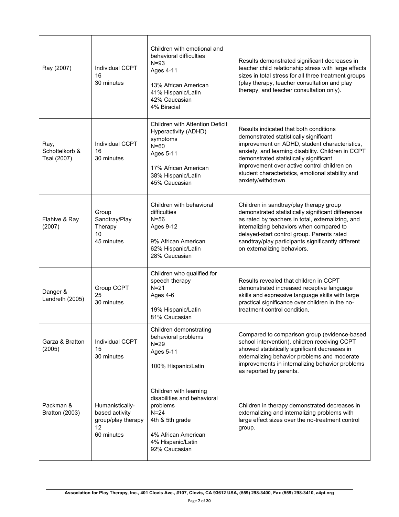| Ray (2007)                            | Individual CCPT<br>16<br>30 minutes                                         | Children with emotional and<br>behavioral difficulties<br>$N = 93$<br>Ages 4-11<br>13% African American<br>41% Hispanic/Latin<br>42% Caucasian<br>4% Biracial    | Results demonstrated significant decreases in<br>teacher child relationship stress with large effects<br>sizes in total stress for all three treatment groups<br>(play therapy, teacher consultation and play<br>therapy, and teacher consultation only).                                                                                                  |
|---------------------------------------|-----------------------------------------------------------------------------|------------------------------------------------------------------------------------------------------------------------------------------------------------------|------------------------------------------------------------------------------------------------------------------------------------------------------------------------------------------------------------------------------------------------------------------------------------------------------------------------------------------------------------|
| Ray,<br>Schottelkorb &<br>Tsai (2007) | Individual CCPT<br>16<br>30 minutes                                         | <b>Children with Attention Deficit</b><br>Hyperactivity (ADHD)<br>symptoms<br>$N=60$<br>Ages 5-11<br>17% African American<br>38% Hispanic/Latin<br>45% Caucasian | Results indicated that both conditions<br>demonstrated statistically significant<br>improvement on ADHD, student characteristics,<br>anxiety, and learning disability. Children in CCPT<br>demonstrated statistically significant<br>improvement over active control children on<br>student characteristics, emotional stability and<br>anxiety/withdrawn. |
| Flahive & Ray<br>(2007)               | Group<br>Sandtray/Play<br>Therapy<br>10<br>45 minutes                       | Children with behavioral<br>difficulties<br>$N = 56$<br>Ages 9-12<br>9% African American<br>62% Hispanic/Latin<br>28% Caucasian                                  | Children in sandtray/play therapy group<br>demonstrated statistically significant differences<br>as rated by teachers in total, externalizing, and<br>internalizing behaviors when compared to<br>delayed-start control group. Parents rated<br>sandtray/play participants significantly different<br>on externalizing behaviors.                          |
| Danger &<br>Landreth (2005)           | Group CCPT<br>25<br>30 minutes                                              | Children who qualified for<br>speech therapy<br>$N = 21$<br>Ages 4-6<br>19% Hispanic/Latin<br>81% Caucasian                                                      | Results revealed that children in CCPT<br>demonstrated increased receptive language<br>skills and expressive language skills with large<br>practical significance over children in the no-<br>treatment control condition.                                                                                                                                 |
| Garza & Bratton<br>(2005)             | Individual CCPT<br>15<br>30 minutes                                         | Children demonstrating<br>behavioral problems<br>$N=29$<br>Ages 5-11<br>100% Hispanic/Latin                                                                      | Compared to comparison group (evidence-based<br>school intervention), children receiving CCPT<br>showed statistically significant decreases in<br>externalizing behavior problems and moderate<br>improvements in internalizing behavior problems<br>as reported by parents.                                                                               |
| Packman &<br><b>Bratton (2003)</b>    | Humanistically-<br>based activity<br>group/play therapy<br>12<br>60 minutes | Children with learning<br>disabilities and behavioral<br>problems<br>$N=24$<br>4th & 5th grade<br>4% African American<br>4% Hispanic/Latin<br>92% Caucasian      | Children in therapy demonstrated decreases in<br>externalizing and internalizing problems with<br>large effect sizes over the no-treatment control<br>group.                                                                                                                                                                                               |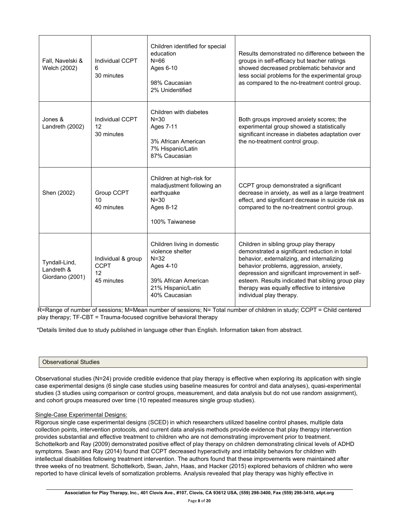| Fall, Navelski &<br>Welch (2002)               | Individual CCPT<br>6<br>30 minutes                    | Children identified for special<br>education<br>$N = 66$<br>Ages 6-10<br>98% Caucasian<br>2% Unidentified                               | Results demonstrated no difference between the<br>groups in self-efficacy but teacher ratings<br>showed decreased problematic behavior and<br>less social problems for the experimental group<br>as compared to the no-treatment control group.                                                                                                                    |
|------------------------------------------------|-------------------------------------------------------|-----------------------------------------------------------------------------------------------------------------------------------------|--------------------------------------------------------------------------------------------------------------------------------------------------------------------------------------------------------------------------------------------------------------------------------------------------------------------------------------------------------------------|
| Jones &<br>Landreth (2002)                     | Individual CCPT<br>12<br>30 minutes                   | Children with diabetes<br>$N = 30$<br>Ages 7-11<br>3% African American<br>7% Hispanic/Latin<br>87% Caucasian                            | Both groups improved anxiety scores; the<br>experimental group showed a statistically<br>significant increase in diabetes adaptation over<br>the no-treatment control group.                                                                                                                                                                                       |
| Shen (2002)                                    | Group CCPT<br>10<br>40 minutes                        | Children at high-risk for<br>maladjustment following an<br>earthquake<br>$N = 30$<br>Ages 8-12<br>100% Taiwanese                        | CCPT group demonstrated a significant<br>decrease in anxiety, as well as a large treatment<br>effect, and significant decrease in suicide risk as<br>compared to the no-treatment control group.                                                                                                                                                                   |
| Tyndall-Lind,<br>Landreth &<br>Giordano (2001) | Individual & group<br><b>CCPT</b><br>12<br>45 minutes | Children living in domestic<br>violence shelter<br>$N = 32$<br>Ages 4-10<br>39% African American<br>21% Hispanic/Latin<br>40% Caucasian | Children in sibling group play therapy<br>demonstrated a significant reduction in total<br>behavior, externalizing, and internalizing<br>behavior problems, aggression, anxiety,<br>depression and significant improvement in self-<br>esteem. Results indicated that sibling group play<br>therapy was equally effective to intensive<br>individual play therapy. |

R=Range of number of sessions; M=Mean number of sessions; N= Total number of children in study; CCPT = Child centered play therapy; TF-CBT = Trauma-focused cognitive behavioral therapy

\*Details limited due to study published in language other than English. Information taken from abstract.

#### Observational Studies

Observational studies (N=24) provide credible evidence that play therapy is effective when exploring its application with single case experimental designs (6 single case studies using baseline measures for control and data analyses), quasi-experimental studies (3 studies using comparison or control groups, measurement, and data analysis but do not use random assignment), and cohort groups measured over time (10 repeated measures single group studies).

#### Single-Case Experimental Designs:

Rigorous single case experimental designs (SCED) in which researchers utilized baseline control phases, multiple data collection points, intervention protocols, and current data analysis methods provide evidence that play therapy intervention provides substantial and effective treatment to children who are not demonstrating improvement prior to treatment. Schottelkorb and Ray (2009) demonstrated positive effect of play therapy on children demonstrating clinical levels of ADHD symptoms. Swan and Ray (2014) found that CCPT decreased hyperactivity and irritability behaviors for children with intellectual disabilities following treatment intervention. The authors found that these improvements were maintained after three weeks of no treatment. Schottelkorb, Swan, Jahn, Haas, and Hacker (2015) explored behaviors of children who were reported to have clinical levels of somatization problems. Analysis revealed that play therapy was highly effective in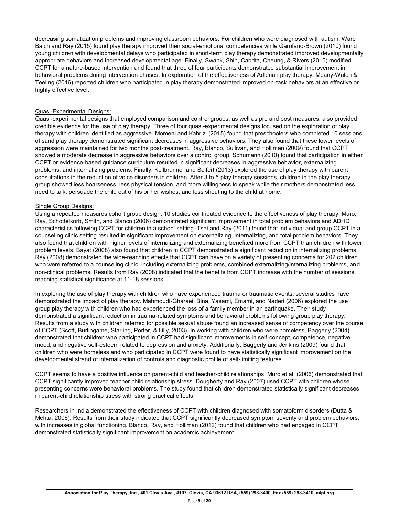decreasing somatization problems and improving classroom behaviors. For children who were diagnosed with autism, Ware Balch and Ray (2015) found play therapy improved their social-emotional competencies while Garofano-Brown (2010) found young children with developmental delays who participated in short-term play therapy demonstrated improved developmentally appropriate behaviors and increased developmental age. Finally, Swank, Shin, Cabrita, Cheung, & Rivers (2015) modified CCPT for a nature-based intervention and found that three of four participants demonstrated substantial improvement in behavioral problems during intervention phases. In exploration of the effectiveness of Adlerian play therapy, Meany-Walen & Teeling (2016) reported children who participated in play therapy demonstrated improved on-task behaviors at an effective or highly effective level.

#### Quasi-Experimental Designs:

Quasi-experimental designs that employed comparison and control groups, as well as pre and post measures, also provided credible evidence for the use of play therapy. Three of four quasi-experimental designs focused on the exploration of play therapy with children identified as aggressive. Momeni and Kahrizi (2015) found that preschoolers who completed 10 sessions of sand play therapy demonstrated significant decreases in aggressive behaviors. They also found that these lower levels of aggression were maintained for two months post-treatment. Ray, Blanco, Sullivan, and Holliman (2009) found that CCPT showed a moderate decrease in aggressive behaviors over a control group. Schumann (2010) found that participation in either CCPT or evidence-based guidance curriculum resulted in significant decreases in aggressive behavior, externalizing problems, and internalizing problems. Finally, Kollbrunner and Seifert (2013) explored the use of play therapy with parent consultations in the reduction of voice disorders in children. After 3 to 5 play therapy sessions, children in the play therapy group showed less hoarseness, less physical tension, and more willingness to speak while their mothers demonstrated less need to talk, persuade the child out of his or her wishes, and less shouting to the child at home.

#### Single Group Designs:

Using a repeated measures cohort group design, 10 studies contributed evidence to the effectiveness of play therapy. Muro, Ray, Schottelkorb, Smith, and Blanco (2006) demonstrated significant improvement in total problem behaviors and ADHD characteristics following CCPT for children in a school setting. Tsai and Ray (2011) found that individual and group CCPT in a counseling clinic setting resulted in significant improvement on externalizing, internalizing, and total problem behaviors. They also found that children with higher levels of internalizing and externalizing benefited more from CCPT than children with lower problem levels. Bayat (2008) also found that children in CCPT demonstrated a significant reduction in internalizing problems. Ray (2008) demonstrated the wide-reaching effects that CCPT can have on a variety of presenting concerns for 202 children who were referred to a counseling clinic, including externalizing problems, combined externalizing/internalizing problems, and non-clinical problems. Results from Ray (2008) indicated that the benefits from CCPT increase with the number of sessions, reaching statistical significance at 11-18 sessions.

In exploring the use of play therapy with children who have experienced trauma or traumatic events, several studies have demonstrated the impact of play therapy. Mahmoudi-Gharaei, Bina, Yasami, Emami, and Naderi (2006) explored the use group play therapy with children who had experienced the loss of a family member in an earthquake. Their study demonstrated a significant reduction in trauma-related symptoms and behavioral problems following group play therapy. Results from a study with children referred for possible sexual abuse found an increased sense of competency over the course of CCPT (Scott, Burlingame, Starling, Porter, & Lilly, 2003). In working with children who were homeless, Baggerly (2004) demonstrated that children who participated in CCPT had significant improvements in self-concept, competence, negative mood, and negative self-esteem related to depression and anxiety. Additionally, Baggerly and Jenkins (2009) found that children who were homeless and who participated in CCPT were found to have statistically significant improvement on the developmental strand of internalization of controls and diagnostic profile of self-limiting features.

CCPT seems to have a positive influence on parent-child and teacher-child relationships. Muro et al. (2006) demonstrated that CCPT significantly improved teacher child relationship stress. Dougherty and Ray (2007) used CCPT with children whose presenting concerns were behavioral problems. The study found that children demonstrated statistically significant decreases in parent-child relationship stress with strong practical effects.

Researchers in India demonstrated the effectiveness of CCPT with children diagnosed with somatoform disorders (Dutta & Mehta, 2006). Results from their study indicated that CCPT significantly decreased symptom severity and problem behaviors, with increases in global functioning. Blanco, Ray, and Holliman (2012) found that children who had engaged in CCPT demonstrated statistically significant improvement on academic achievement.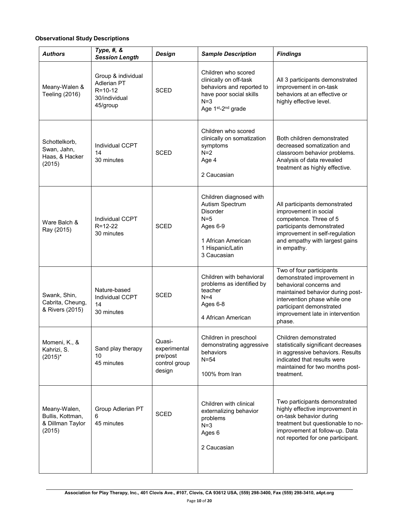## **Observational Study Descriptions**

| <b>Authors</b>                                                 | Type, #, &<br><b>Session Length</b>                                             | <b>Design</b>                                                 | <b>Sample Description</b>                                                                                                                                    | <b>Findings</b>                                                                                                                                                                                                                  |
|----------------------------------------------------------------|---------------------------------------------------------------------------------|---------------------------------------------------------------|--------------------------------------------------------------------------------------------------------------------------------------------------------------|----------------------------------------------------------------------------------------------------------------------------------------------------------------------------------------------------------------------------------|
| Meany-Walen &<br>Teeling (2016)                                | Group & individual<br>Adlerian PT<br>$R = 10 - 12$<br>30/individual<br>45/group | <b>SCED</b>                                                   | Children who scored<br>clinically on off-task<br>behaviors and reported to<br>have poor social skills<br>$N=3$<br>Age 1 <sup>st</sup> -2 <sup>nd</sup> grade | All 3 participants demonstrated<br>improvement in on-task<br>behaviors at an effective or<br>highly effective level.                                                                                                             |
| Schottelkorb,<br>Swan, Jahn,<br>Haas, & Hacker<br>(2015)       | <b>Individual CCPT</b><br>14<br>30 minutes                                      | <b>SCED</b>                                                   | Children who scored<br>clinically on somatization<br>symptoms<br>$N=2$<br>Age 4<br>2 Caucasian                                                               | Both children demonstrated<br>decreased somatization and<br>classroom behavior problems.<br>Analysis of data revealed<br>treatment as highly effective.                                                                          |
| Ware Balch &<br>Ray (2015)                                     | <b>Individual CCPT</b><br>$R = 12 - 22$<br>30 minutes                           | <b>SCED</b>                                                   | Children diagnosed with<br>Autism Spectrum<br><b>Disorder</b><br>$N=5$<br>Ages 6-9<br>1 African American<br>1 Hispanic/Latin<br>3 Caucasian                  | All participants demonstrated<br>improvement in social<br>competence. Three of 5<br>participants demonstrated<br>improvement in self-regulation<br>and empathy with largest gains<br>in empathy.                                 |
| Swank, Shin,<br>Cabrita, Cheung,<br>& Rivers (2015)            | Nature-based<br><b>Individual CCPT</b><br>14<br>30 minutes                      | <b>SCED</b>                                                   | Children with behavioral<br>problems as identified by<br>teacher<br>$N=4$<br>Ages 6-8<br>4 African American                                                  | Two of four participants<br>demonstrated improvement in<br>behavioral concerns and<br>maintained behavior during post-<br>intervention phase while one<br>participant demonstrated<br>improvement late in intervention<br>phase. |
| Momeni, K., &<br>Kahrizi, S.<br>$(2015)^*$                     | Sand play therapy<br>10<br>45 minutes                                           | Quasi-<br>experimental<br>pre/post<br>control group<br>design | Children in preschool<br>demonstrating aggressive<br>behaviors<br>$N = 54$<br>100% from Iran                                                                 | Children demonstrated<br>statistically significant decreases<br>in aggressive behaviors. Results<br>indicated that results were<br>maintained for two months post-<br>treatment.                                                 |
| Meany-Walen,<br>Bullis, Kottman,<br>& Dillman Taylor<br>(2015) | Group Adlerian PT<br>6<br>45 minutes                                            | <b>SCED</b>                                                   | Children with clinical<br>externalizing behavior<br>problems<br>$N=3$<br>Ages 6<br>2 Caucasian                                                               | Two participants demonstrated<br>highly effective improvement in<br>on-task behavior during<br>treatment but questionable to no-<br>improvement at follow-up. Data<br>not reported for one participant.                          |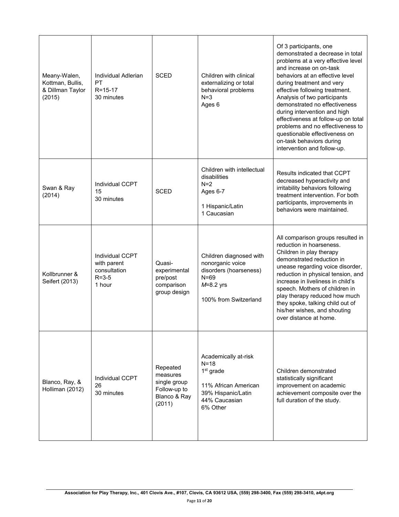| Meany-Walen,<br>Kottman, Bullis,<br>& Dillman Taylor<br>(2015) | Individual Adlerian<br><b>PT</b><br>$R = 15 - 17$<br>30 minutes         | <b>SCED</b>                                                                    | Children with clinical<br>externalizing or total<br>behavioral problems<br>$N=3$<br>Ages 6                                         | Of 3 participants, one<br>demonstrated a decrease in total<br>problems at a very effective level<br>and increase on on-task<br>behaviors at an effective level<br>during treatment and very<br>effective following treatment.<br>Analysis of two participants<br>demonstrated no effectiveness<br>during intervention and high<br>effectiveness at follow-up on total<br>problems and no effectiveness to<br>questionable effectiveness on<br>on-task behaviors during<br>intervention and follow-up. |
|----------------------------------------------------------------|-------------------------------------------------------------------------|--------------------------------------------------------------------------------|------------------------------------------------------------------------------------------------------------------------------------|-------------------------------------------------------------------------------------------------------------------------------------------------------------------------------------------------------------------------------------------------------------------------------------------------------------------------------------------------------------------------------------------------------------------------------------------------------------------------------------------------------|
| Swan & Ray<br>(2014)                                           | Individual CCPT<br>15<br>30 minutes                                     | <b>SCED</b>                                                                    | Children with intellectual<br>disabilities<br>$N=2$<br>Ages 6-7<br>1 Hispanic/Latin<br>1 Caucasian                                 | Results indicated that CCPT<br>decreased hyperactivity and<br>irritability behaviors following<br>treatment intervention. For both<br>participants, improvements in<br>behaviors were maintained.                                                                                                                                                                                                                                                                                                     |
| Kollbrunner &<br>Seifert (2013)                                | Individual CCPT<br>with parent<br>consultation<br>$R = 3 - 5$<br>1 hour | Quasi-<br>experimental<br>pre/post<br>comparison<br>group design               | Children diagnosed with<br>nonorganic voice<br>disorders (hoarseness)<br>$N = 69$<br>$M=8.2$ yrs<br>100% from Switzerland          | All comparison groups resulted in<br>reduction in hoarseness.<br>Children in play therapy<br>demonstrated reduction in<br>unease regarding voice disorder,<br>reduction in physical tension, and<br>increase in liveliness in child's<br>speech. Mothers of children in<br>play therapy reduced how much<br>they spoke, talking child out of<br>his/her wishes, and shouting<br>over distance at home.                                                                                                |
| Blanco, Ray, &<br>Holliman (2012)                              | Individual CCPT<br>26<br>30 minutes                                     | Repeated<br>measures<br>single group<br>Follow-up to<br>Blanco & Ray<br>(2011) | Academically at-risk<br>$N=18$<br>1 <sup>st</sup> grade<br>11% African American<br>39% Hispanic/Latin<br>44% Caucasian<br>6% Other | Children demonstrated<br>statistically significant<br>improvement on academic<br>achievement composite over the<br>full duration of the study.                                                                                                                                                                                                                                                                                                                                                        |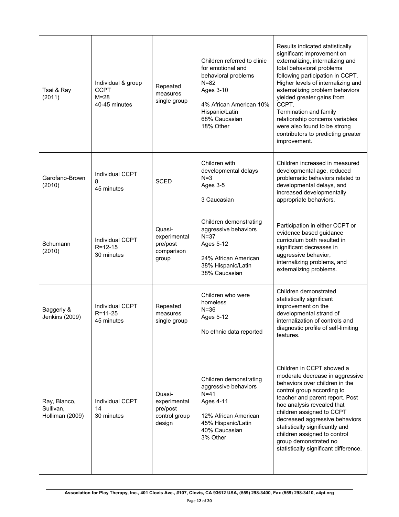| Tsai & Ray<br>(2011)                         | Individual & group<br><b>CCPT</b><br>$M = 28$<br>40-45 minutes | Repeated<br>measures<br>single group                          | Children referred to clinic<br>for emotional and<br>behavioral problems<br>$N=82$<br>Ages 3-10<br>4% African American 10%<br>Hispanic/Latin<br>68% Caucasian<br>18% Other | Results indicated statistically<br>significant improvement on<br>externalizing, internalizing and<br>total behavioral problems<br>following participation in CCPT.<br>Higher levels of internalizing and<br>externalizing problem behaviors<br>yielded greater gains from<br>CCPT.<br>Termination and family<br>relationship concerns variables<br>were also found to be strong<br>contributors to predicting greater<br>improvement. |
|----------------------------------------------|----------------------------------------------------------------|---------------------------------------------------------------|---------------------------------------------------------------------------------------------------------------------------------------------------------------------------|---------------------------------------------------------------------------------------------------------------------------------------------------------------------------------------------------------------------------------------------------------------------------------------------------------------------------------------------------------------------------------------------------------------------------------------|
| Garofano-Brown<br>(2010)                     | Individual CCPT<br>8<br>45 minutes                             | <b>SCED</b>                                                   | Children with<br>developmental delays<br>$N=3$<br>Ages 3-5<br>3 Caucasian                                                                                                 | Children increased in measured<br>developmental age, reduced<br>problematic behaviors related to<br>developmental delays, and<br>increased developmentally<br>appropriate behaviors.                                                                                                                                                                                                                                                  |
| Schumann<br>(2010)                           | Individual CCPT<br>$R = 12 - 15$<br>30 minutes                 | Quasi-<br>experimental<br>pre/post<br>comparison<br>group     | Children demonstrating<br>aggressive behaviors<br>$N = 37$<br>Ages 5-12<br>24% African American<br>38% Hispanic/Latin<br>38% Caucasian                                    | Participation in either CCPT or<br>evidence based guidance<br>curriculum both resulted in<br>significant decreases in<br>aggressive behavior,<br>internalizing problems, and<br>externalizing problems.                                                                                                                                                                                                                               |
| Baggerly &<br>Jenkins (2009)                 | Individual CCPT<br>$R = 11 - 25$<br>45 minutes                 | Repeated<br>measures<br>single group                          | Children who were<br>homeless<br>$N = 36$<br>Ages 5-12<br>No ethnic data reported                                                                                         | Children demonstrated<br>statistically significant<br>improvement on the<br>developmental strand of<br>internalization of controls and<br>diagnostic profile of self-limiting<br>features.                                                                                                                                                                                                                                            |
| Ray, Blanco,<br>Sullivan,<br>Holliman (2009) | Individual CCPT<br>14<br>30 minutes                            | Quasi-<br>experimental<br>pre/post<br>control group<br>design | Children demonstrating<br>aggressive behaviors<br>$N=41$<br>Ages 4-11<br>12% African American<br>45% Hispanic/Latin<br>40% Caucasian<br>3% Other                          | Children in CCPT showed a<br>moderate decrease in aggressive<br>behaviors over children in the<br>control group according to<br>teacher and parent report. Post<br>hoc analysis revealed that<br>children assigned to CCPT<br>decreased aggressive behaviors<br>statistically significantly and<br>children assigned to control<br>group demonstrated no<br>statistically significant difference.                                     |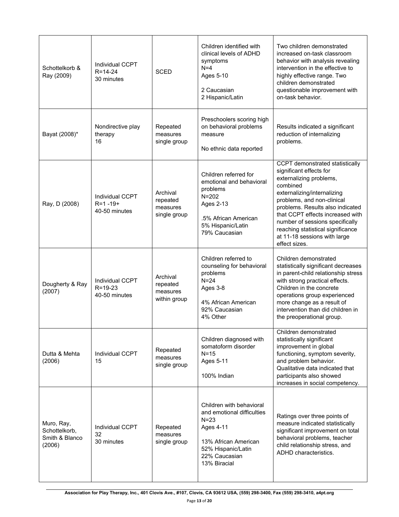| Schottelkorb &<br>Ray (2009)                            | <b>Individual CCPT</b><br>$R = 14 - 24$<br>30 minutes     | <b>SCED</b>                                      | Children identified with<br>clinical levels of ADHD<br>symptoms<br>$N=4$<br>Ages 5-10<br>2 Caucasian<br>2 Hispanic/Latin                                       | Two children demonstrated<br>increased on-task classroom<br>behavior with analysis revealing<br>intervention in the effective to<br>highly effective range. Two<br>children demonstrated<br>questionable improvement with<br>on-task behavior.                                                                                                                  |
|---------------------------------------------------------|-----------------------------------------------------------|--------------------------------------------------|----------------------------------------------------------------------------------------------------------------------------------------------------------------|-----------------------------------------------------------------------------------------------------------------------------------------------------------------------------------------------------------------------------------------------------------------------------------------------------------------------------------------------------------------|
| Bayat (2008)*                                           | Nondirective play<br>therapy<br>16                        | Repeated<br>measures<br>single group             | Preschoolers scoring high<br>on behavioral problems<br>measure<br>No ethnic data reported                                                                      | Results indicated a significant<br>reduction of internalizing<br>problems.                                                                                                                                                                                                                                                                                      |
| Ray, D (2008)                                           | <b>Individual CCPT</b><br>$R = 1 - 19 +$<br>40-50 minutes | Archival<br>repeated<br>measures<br>single group | Children referred for<br>emotional and behavioral<br>problems<br>$N = 202$<br>Ages 2-13<br>.5% African American<br>5% Hispanic/Latin<br>79% Caucasian          | CCPT demonstrated statistically<br>significant effects for<br>externalizing problems,<br>combined<br>externalizing/internalizing<br>problems, and non-clinical<br>problems. Results also indicated<br>that CCPT effects increased with<br>number of sessions specifically<br>reaching statistical significance<br>at 11-18 sessions with large<br>effect sizes. |
| Dougherty & Ray<br>(2007)                               | <b>Individual CCPT</b><br>$R = 19 - 23$<br>40-50 minutes  | Archival<br>repeated<br>measures<br>within group | Children referred to<br>counseling for behavioral<br>problems<br>$N=24$<br>Ages 3-8<br>4% African American<br>92% Caucasian<br>4% Other                        | Children demonstrated<br>statistically significant decreases<br>in parent-child relationship stress<br>with strong practical effects.<br>Children in the concrete<br>operations group experienced<br>more change as a result of<br>intervention than did children in<br>the preoperational group.                                                               |
| Dutta & Mehta<br>(2006)                                 | Individual CCPT<br>15                                     | Repeated<br>measures<br>single group             | Children diagnosed with<br>somatoform disorder<br>$N = 15$<br>Ages 5-11<br>100% Indian                                                                         | Children demonstrated<br>statistically significant<br>improvement in global<br>functioning, symptom severity,<br>and problem behavior.<br>Qualitative data indicated that<br>participants also showed<br>increases in social competency.                                                                                                                        |
| Muro, Ray,<br>Schottelkorb,<br>Smith & Blanco<br>(2006) | Individual CCPT<br>32<br>30 minutes                       | Repeated<br>measures<br>single group             | Children with behavioral<br>and emotional difficulties<br>$N = 23$<br>Ages 4-11<br>13% African American<br>52% Hispanic/Latin<br>22% Caucasian<br>13% Biracial | Ratings over three points of<br>measure indicated statistically<br>significant improvement on total<br>behavioral problems, teacher<br>child relationship stress, and<br>ADHD characteristics.                                                                                                                                                                  |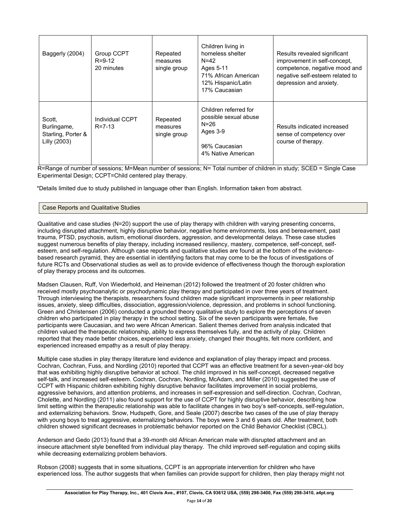| Baggerly (2004)                                             | Group CCPT<br>$R = 9 - 12$<br>20 minutes | Repeated<br>measures<br>single group | Children living in<br>homeless shelter<br>N=42<br>Ages 5-11<br>71% African American<br>12% Hispanic/Latin<br>17% Caucasian | Results revealed significant<br>improvement in self-concept,<br>competence, negative mood and<br>negative self-esteem related to<br>depression and anxiety. |
|-------------------------------------------------------------|------------------------------------------|--------------------------------------|----------------------------------------------------------------------------------------------------------------------------|-------------------------------------------------------------------------------------------------------------------------------------------------------------|
| Scott.<br>Burlingame,<br>Starling, Porter &<br>Lilly (2003) | Individual CCPT<br>$R = 7 - 13$          | Repeated<br>measures<br>single group | Children referred for<br>possible sexual abuse<br>N=26<br>Ages 3-9<br>96% Caucasian<br>4% Native American                  | Results indicated increased<br>sense of competency over<br>course of therapy.                                                                               |

R=Range of number of sessions; M=Mean number of sessions; N= Total number of children in study; SCED = Single Case Experimental Design; CCPT=Child centered play therapy.

\*Details limited due to study published in language other than English. Information taken from abstract.

#### Case Reports and Qualitative Studies

Qualitative and case studies (N=20) support the use of play therapy with children with varying presenting concerns, including disrupted attachment, highly disruptive behavior, negative home environments, loss and bereavement, past trauma, PTSD, psychosis, autism, emotional disorders, aggression, and developmental delays. These case studies suggest numerous benefits of play therapy, including increased resiliency, mastery, competence, self-concept, selfesteem, and self-regulation. Although case reports and qualitative studies are found at the bottom of the evidencebased research pyramid, they are essential in identifying factors that may come to be the focus of investigations of future RCTs and Observational studies as well as to provide evidence of effectiveness though the thorough exploration of play therapy process and its outcomes.

Madsen Clausen, Ruff, Von Wiederhold, and Heineman (2012) followed the treatment of 20 foster children who received mostly psychoanalytic or psychodynamic play therapy and participated in over three years of treatment. Through interviewing the therapists, researchers found children made significant improvements in peer relationship issues, anxiety, sleep difficulties, dissociation, aggression/violence, depression, and problems in school functioning. Green and Christensen (2006) conducted a grounded theory qualitative study to explore the perceptions of seven children who participated in play therapy in the school setting. Six of the seven participants were female, five participants were Caucasian, and two were African American. Salient themes derived from analysis indicated that children valued the therapeutic relationship, ability to express themselves fully, and the activity of play. Children reported that they made better choices, experienced less anxiety, changed their thoughts, felt more confident, and experienced increased empathy as a result of play therapy.

Multiple case studies in play therapy literature lend evidence and explanation of play therapy impact and process. Cochran, Cochran, Fuss, and Nordling (2010) reported that CCPT was an effective treatment for a seven-year-old boy that was exhibiting highly disruptive behavior at school. The child improved in his self-concept, decreased negative self-talk, and increased self-esteem. Cochran, Cochran, Nordling, McAdam, and Miller (2010) suggested the use of CCPT with Hispanic children exhibiting highly disruptive behavior facilitates improvement in social problems, aggressive behaviors, and attention problems, and increases in self-expression and self-direction. Cochran, Cochran, Cholette, and Nordling (2011) also found support for the use of CCPT for highly disruptive behavior, describing how limit setting within the therapeutic relationship was able to facilitate changes in two boy's self-concepts, self-regulation, and externalizing behaviors. Snow, Hudspeth, Gore, and Seale (2007) describe two cases of the use of play therapy with young boys to treat aggressive, externalizing behaviors. The boys were 3 and 6 years old. After treatment, both children showed significant decreases in problematic behavior reported on the Child Behavior Checklist (CBCL).

Anderson and Gedo (2013) found that a 39-month old African American male with disrupted attachment and an insecure attachment style benefited from individual play therapy. The child improved self-regulation and coping skills while decreasing externalizing problem behaviors.

Robson (2008) suggests that in some situations, CCPT is an appropriate intervention for children who have experienced loss. The author suggests that when families can provide support for children, then play therapy might not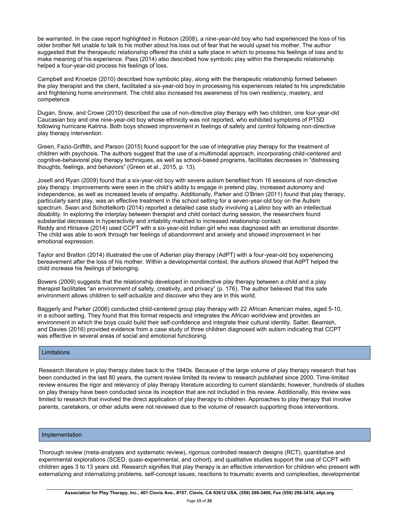be warranted. In the case report highlighted in Robson (2008), a nine-year-old boy who had experienced the loss of his older brother felt unable to talk to his mother about his loss out of fear that he would upset his mother. The author suggested that the therapeutic relationship offered the child a safe place in which to process his feelings of loss and to make meaning of his experience. Pass (2014) also described how symbolic play within the therapeutic relationship helped a four-year-old process his feelings of loss.

Campbell and Knoetze (2010) described how symbolic play, along with the therapeutic relationship formed between the play therapist and the client, facilitated a six-year-old boy in processing his experiences related to his unpredictable and frightening home environment. The child also increased his awareness of his own resiliency, mastery, and competence.

Dugan, Snow, and Crowe (2010) described the use of non-directive play therapy with two children, one four-year-old Caucasian boy and one nine-year-old boy whose ethnicity was not reported, who exhibited symptoms of PTSD following hurricane Katrina. Both boys showed improvement in feelings of safety and control following non-directive play therapy intervention.

Green, Fazio-Griffith, and Parson (2015) found support for the use of integrative play therapy for the treatment of children with psychosis. The authors suggest that the use of a multimodal approach, incorporating child-centered and cognitive-behavioral play therapy techniques, as well as school-based programs, facilitates decreases in "distressing thoughts, feelings, and behaviors" (Green et al., 2015, p. 13).

Josefi and Ryan (2009) found that a six-year-old boy with severe autism benefited from 16 sessions of non-directive play therapy. Improvements were seen in the child's ability to engage in pretend play, increased autonomy and independence, as well as increased levels of empathy. Additionally, Parker and O'Brien (2011) found that play therapy, particularly sand play, was an effective treatment in the school setting for a seven-year-old boy on the Autism spectrum. Swan and Schottelkorb (2014) reported a detailed case study involving a Latino boy with an intellectual disability. In exploring the interplay between therapist and child contact during session, the researchers found substantial decreases in hyperactivity and irritability matched to increased relationship contact. Reddy and Hirisave (2014) used CCPT with a six-year-old Indian girl who was diagnosed with an emotional disorder. The child was able to work through her feelings of abandonment and anxiety and showed improvement in her emotional expression.

Taylor and Bratton (2014) illustrated the use of Adlerian play therapy (AdPT) with a four-year-old boy experiencing bereavement after the loss of his mother. Within a developmental context, the authors showed that AdPT helped the child increase his feelings of belonging.

Bowers (2009) suggests that the relationship developed in nondirective play therapy between a child and a play therapist facilitates "an environment of safety, creativity, and privacy" (p. 176). The author believed that this safe environment allows children to self-actualize and discover who they are in this world.

Baggerly and Parker (2006) conducted child-centered group play therapy with 22 African American males, aged 5-10, in a school setting. They found that this format respects and integrates the African worldview and provides an environment in which the boys could build their self-confidence and integrate their cultural identity. Salter, Beamish, and Davies (2016) provided evidence from a case study of three children diagnosed with autism indicating that CCPT was effective in several areas of social and emotional functioning.

## Limitations

Research literature in play therapy dates back to the 1940s. Because of the large volume of play therapy research that has been conducted in the last 80 years, the current review limited its review to research published since 2000. Time-limited review ensures the rigor and relevancy of play therapy literature according to current standards; however, hundreds of studies on play therapy have been conducted since its inception that are not included in this review. Additionally, this review was limited to research that involved the direct application of play therapy to children. Approaches to play therapy that involve parents, caretakers, or other adults were not reviewed due to the volume of research supporting those interventions.

#### Implementation

Thorough review (meta-analyses and systematic review), rigorous controlled research designs (RCT), quantitative and experimental explorations (SCED, quasi-experimental, and cohort), and qualitative studies support the use of CCPT with children ages 3 to 13 years old. Research signifies that play therapy is an effective intervention for children who present with externalizing and internalizing problems, self-concept issues, reactions to traumatic events and complexities, developmental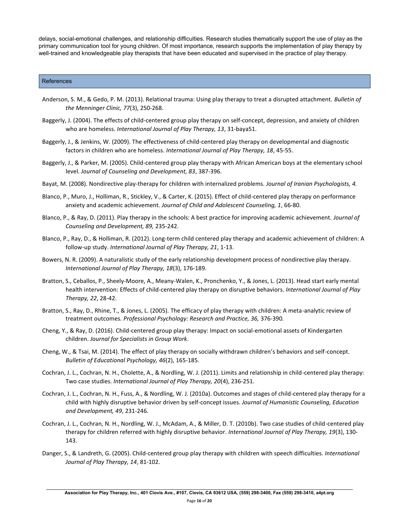delays, social-emotional challenges, and relationship difficulties. Research studies thematically support the use of play as the primary communication tool for young children. Of most importance, research supports the implementation of play therapy by well-trained and knowledgeable play therapists that have been educated and supervised in the practice of play therapy.

#### **References**

- Anderson, S. M., & Gedo, P. M. (2013). Relational trauma: Using play therapy to treat a disrupted attachment. *Bulletin of the Menninger Clinic, 77*(3), 250-268.
- Baggerly, J. (2004). The effects of child-centered group play therapy on self-concept, depression, and anxiety of children who are homeless. *International Journal of Play Therapy, 13*, 31-baya51.
- Baggerly, J., & Jenkins, W. (2009). The effectiveness of child-centered play therapy on developmental and diagnostic factors in children who are homeless. *International Journal of Play Therapy, 18*, 45-55.
- Baggerly, J., & Parker, M. (2005). Child-centered group play therapy with African American boys at the elementary school level. *Journal of Counseling and Development, 83*, 387-396.
- Bayat, M. (2008). Nondirective play-therapy for children with internalized problems. *Journal of Iranian Psychologists, 4.*
- Blanco, P., Muro, J., Holliman, R., Stickley, V., & Carter, K. (2015). Effect of child-centered play therapy on performance anxiety and academic achievement. *Journal of Child and Adolescent Counseling, 1*, 66-80.
- Blanco, P., & Ray, D. (2011). Play therapy in the schools: A best practice for improving academic achievement. *Journal of Counseling and Development, 89,* 235-242.
- Blanco, P., Ray, D., & Holliman, R. (2012). Long-term child centered play therapy and academic achievement of children: A follow-up study. *International Journal of Play Therapy, 21*, 1-13.
- Bowers, N. R. (2009). A naturalistic study of the early relationship development process of nondirective play therapy. *International Journal of Play Therapy, 18*(3), 176-189.
- Bratton, S., Ceballos, P., Sheely-Moore, A., Meany-Walen, K., Pronchenko, Y., & Jones, L. (2013). Head start early mental health intervention: Effects of child-centered play therapy on disruptive behaviors. *International Journal of Play Therapy, 22*, 28-42.
- Bratton, S., Ray, D., Rhine, T., & Jones, L. (2005). The efficacy of play therapy with children: A meta-analytic review of treatment outcomes. *Professional Psychology: Research and Practice, 36,* 376-390*.*
- Cheng, Y., & Ray, D. (2016). Child-centered group play therapy: Impact on social-emotional assets of Kindergarten children. *Journal for Specialists in Group Work*.
- Cheng, W., & Tsai, M. (2014). The effect of play therapy on socially withdrawn children's behaviors and self-concept. *Bulletin of Educational Psychology, 46*(2), 165-185.
- Cochran, J. L., Cochran, N. H., Cholette, A., & Nordling, W. J. (2011). Limits and relationship in child-centered play therapy: Two case studies. *International Journal of Play Therapy, 20*(4), 236-251.
- Cochran, J. L., Cochran, N. H., Fuss, A., & Nordling, W. J. (2010a). Outcomes and stages of child-centered play therapy for a child with highly disruptive behavior driven by self-concept issues. *Journal of Humanistic Counseling, Education and Development, 49*, 231-246.
- Cochran, J. L., Cochran, N. H., Nordling, W. J., McAdam, A., & Miller, D. T. (2010b). Two case studies of child-centered play therapy for children referred with highly disruptive behavior. *International Journal of Play Therapy, 19*(3), 130- 143.
- Danger, S., & Landreth, G. (2005). Child-centered group play therapy with children with speech difficulties. *International Journal of Play Therapy, 14*, 81-102.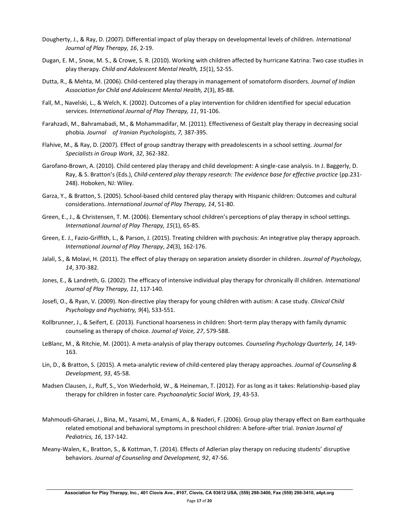- Dougherty, J., & Ray, D. (2007). Differential impact of play therapy on developmental levels of children. *International Journal of Play Therapy, 16*, 2-19.
- Dugan, E. M., Snow, M. S., & Crowe, S. R. (2010). Working with children affected by hurricane Katrina: Two case studies in play therapy. *Child and Adolescent Mental Health, 15*(1), 52-55.
- Dutta, R., & Mehta, M. (2006). Child-centered play therapy in management of somatoform disorders. *Journal of Indian Association for Child and Adolescent Mental Health, 2*(3), 85-88.
- Fall, M., Navelski, L., & Welch, K. (2002). Outcomes of a play intervention for children identified for special education services. *International Journal of Play Therapy, 11*, 91-106.
- Farahzadi, M., Bahramabadi, M., & Mohammadifar, M. (2011). Effectiveness of Gestalt play therapy in decreasing social phobia. *Journal of Iranian Psychologists, 7,* 387-395.
- Flahive, M., & Ray, D. (2007)*.* Effect of group sandtray therapy with preadolescents in a school setting. *Journal for Specialists in Group Work*, *32*, 362-382.
- Garofano-Brown, A. (2010). Child centered play therapy and child development: A single-case analysis. In J. Baggerly, D. Ray, & S. Bratton's (Eds.), *Child-centered play therapy research: The evidence base for effective practice* (pp.231- 248). Hoboken, NJ: Wiley.
- Garza, Y., & Bratton, S. (2005). School-based child centered play therapy with Hispanic children: Outcomes and cultural considerations. *International Journal of Play Therapy, 14*, 51-80.
- Green, E., J., & Christensen, T. M. (2006). Elementary school children's perceptions of play therapy in school settings. *International Journal of Play Therapy, 15*(1), 65-85.
- Green, E. J., Fazio-Griffith, L., & Parson, J. (2015). Treating children with psychosis: An integrative play therapy approach. *International Journal of Play Therapy*, *24*(3), 162-176.
- Jalali, S., & Molavi, H. (2011). The effect of play therapy on separation anxiety disorder in children. *Journal of Psychology, 14*, 370-382.
- Jones, E., & Landreth, G. (2002). The efficacy of intensive individual play therapy for chronically ill children. *International Journal of Play Therapy, 11*, 117-140.
- Josefi, O., & Ryan, V. (2009). Non-directive play therapy for young children with autism: A case study. *Clinical Child Psychology and Psychiatry, 9*(4), 533-551.
- Kollbrunner, J., & Seifert, E. (2013). Functional hoarseness in children: Short-term play therapy with family dynamic counseling as therapy of choice. *Journal of Voice, 27*, 579-588.
- LeBlanc, M., & Ritchie, M. (2001). A meta-analysis of play therapy outcomes. *Counseling Psychology Quarterly, 14*, 149- 163.
- Lin, D., & Bratton, S. (2015). A meta-analytic review of child-centered play therapy approaches. *Journal of Counseling & Development, 93*, 45-58.
- Madsen Clausen, J., Ruff, S., Von Wiederhold, W., & Heineman, T. (2012). For as long as it takes: Relationship-based play therapy for children in foster care. *Psychoanalytic Social Work, 19*, 43-53.
- Mahmoudi-Gharaei, J., Bina, M., Yasami, M., Emami, A., & Naderi, F. (2006). Group play therapy effect on Bam earthquake related emotional and behavioral symptoms in preschool children: A before-after trial. *Iranian Journal of Pediatrics, 16*, 137-142.
- Meany-Walen, K., Bratton, S., & Kottman, T. (2014). Effects of Adlerian play therapy on reducing students' disruptive behaviors. *Journal of Counseling and Development, 92*, 47-56.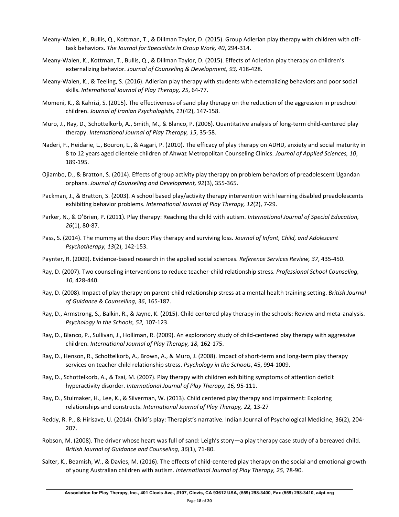- Meany-Walen, K., Bullis, Q., Kottman, T., & Dillman Taylor, D. (2015). Group Adlerian play therapy with children with offtask behaviors. *The Journal for Specialists in Group Work, 40*, 294-314.
- Meany-Walen, K., Kottman, T., Bullis, Q., & Dillman Taylor, D. (2015). Effects of Adlerian play therapy on children's externalizing behavior. *Journal of Counseling & Development, 93,* 418-428.
- Meany-Walen, K., & Teeling, S. (2016). Adlerian play therapy with students with externalizing behaviors and poor social skills. *International Journal of Play Therapy, 25*, 64-77.
- Momeni, K., & Kahrizi, S. (2015). The effectiveness of sand play therapy on the reduction of the aggression in preschool children. *Journal of Iranian Psychologists, 11*(42), 147-158.
- Muro, J., Ray, D., Schottelkorb, A., Smith, M., & Blanco, P. (2006). Quantitative analysis of long-term child-centered play therapy. *International Journal of Play Therapy, 15*, 35-58.
- Naderi, F., Heidarie, L., Bouron, L., & Asgari, P. (2010). The efficacy of play therapy on ADHD, anxiety and social maturity in 8 to 12 years aged clientele children of Ahwaz Metropolitan Counseling Clinics. *Journal of Applied Sciences, 10*, 189-195.
- Ojiambo, D., & Bratton, S. (2014). Effects of group activity play therapy on problem behaviors of preadolescent Ugandan orphans. *Journal of Counseling and Development, 92*(3), 355-365.
- Packman, J., & Bratton, S. (2003). A school based play/activity therapy intervention with learning disabled preadolescents exhibiting behavior problems. *International Journal of Play Therapy, 12*(2), 7-29.
- Parker, N., & O'Brien, P. (2011). Play therapy: Reaching the child with autism. *International Journal of Special Education, 26*(1), 80-87.
- Pass, S. (2014). The mummy at the door: Play therapy and surviving loss. *Journal of Infant, Child, and Adolescent Psychotherapy, 13*(2), 142-153.
- Paynter, R. (2009). Evidence-based research in the applied social sciences. *Reference Services Review, 37*, 435-450.
- Ray, D. (2007). Two counseling interventions to reduce teacher-child relationship stress. *Professional School Counseling, 10*, 428-440.
- Ray, D. (2008). Impact of play therapy on parent-child relationship stress at a mental health training setting. *British Journal of Guidance & Counselling, 36*, 165-187.
- Ray, D., Armstrong, S., Balkin, R., & Jayne, K. (2015). Child centered play therapy in the schools: Review and meta-analysis. *Psychology in the Schools, 52,* 107-123.
- Ray, D., Blanco, P., Sullivan, J., Holliman, R. (2009). An exploratory study of child-centered play therapy with aggressive children. *International Journal of Play Therapy, 18,* 162-175.
- Ray, D., Henson, R., Schottelkorb, A., Brown, A., & Muro, J. (2008). Impact of short-term and long-term play therapy services on teacher child relationship stress. *Psychology in the Schools*, 45, 994-1009.
- Ray, D., Schottelkorb, A., & Tsai, M. (2007). Play therapy with children exhibiting symptoms of attention deficit hyperactivity disorder. *International Journal of Play Therapy, 16,* 95-111.
- Ray, D., Stulmaker, H., Lee, K., & Silverman, W. (2013). Child centered play therapy and impairment: Exploring relationships and constructs. *International Journal of Play Therapy, 22,* 13-27
- Reddy, R. P., & Hirisave, U. (2014). Child's play: Therapist's narrative. Indian Journal of Psychological Medicine, 36(2), 204- 207.
- Robson, M. (2008). The driver whose heart was full of sand: Leigh's story—a play therapy case study of a bereaved child. *British Journal of Guidance and Counseling, 36*(1), 71-80.
- Salter, K., Beamish, W., & Davies, M. (2016). The effects of child-centered play therapy on the social and emotional growth of young Australian children with autism. *International Journal of Play Therapy, 25,* 78-90.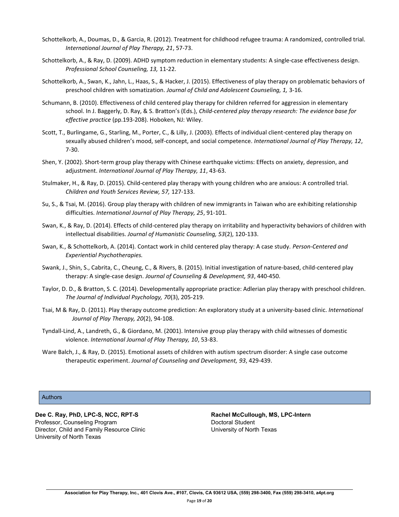- Schottelkorb, A., Doumas, D., & Garcia, R. (2012). Treatment for childhood refugee trauma: A randomized, controlled trial. *International Journal of Play Therapy, 21*, 57-73.
- Schottelkorb, A., & Ray, D. (2009). ADHD symptom reduction in elementary students: A single-case effectiveness design. *Professional School Counseling, 13,* 11-22.
- Schottelkorb, A., Swan, K., Jahn, L., Haas, S., & Hacker, J. (2015). Effectiveness of play therapy on problematic behaviors of preschool children with somatization. *Journal of Child and Adolescent Counseling, 1,* 3-16.
- Schumann, B. (2010). Effectiveness of child centered play therapy for children referred for aggression in elementary school. In J. Baggerly, D. Ray, & S. Bratton's (Eds.), *Child-centered play therapy research: The evidence base for effective practice* (pp.193-208). Hoboken, NJ: Wiley.
- Scott, T., Burlingame, G., Starling, M., Porter, C., & Lilly, J. (2003). Effects of individual client-centered play therapy on sexually abused children's mood, self-concept, and social competence. *International Journal of Play Therapy, 12*, 7-30.
- Shen, Y. (2002). Short-term group play therapy with Chinese earthquake victims: Effects on anxiety, depression, and adjustment. *International Journal of Play Therapy, 11*, 43-63.
- Stulmaker, H., & Ray, D. (2015). Child-centered play therapy with young children who are anxious: A controlled trial. *Children and Youth Services Review, 57,* 127-133.
- Su, S., & Tsai, M. (2016). Group play therapy with children of new immigrants in Taiwan who are exhibiting relationship difficulties. *International Journal of Play Therapy, 25*, 91-101.
- Swan, K., & Ray, D. (2014). Effects of child-centered play therapy on irritability and hyperactivity behaviors of children with intellectual disabilities. *Journal of Humanistic Counseling, 53*(2), 120-133.
- Swan, K., & Schottelkorb, A. (2014). Contact work in child centered play therapy: A case study. *Person-Centered and Experiential Psychotherapies.*
- Swank, J., Shin, S., Cabrita, C., Cheung, C., & Rivers, B. (2015). Initial investigation of nature-based, child-centered play therapy: A single-case design. *Journal of Counseling & Development, 93*, 440-450.
- Taylor, D. D., & Bratton, S. C. (2014). Developmentally appropriate practice: Adlerian play therapy with preschool children. *The Journal of Individual Psychology, 70*(3), 205-219.
- Tsai, M & Ray, D. (2011). Play therapy outcome prediction: An exploratory study at a university-based clinic. *International Journal of Play Therapy, 20*(2), 94-108.
- Tyndall-Lind, A., Landreth, G., & Giordano, M. (2001). Intensive group play therapy with child witnesses of domestic violence. *International Journal of Play Therapy, 10*, 53-83.
- Ware Balch, J., & Ray, D. (2015). Emotional assets of children with autism spectrum disorder: A single case outcome therapeutic experiment. *Journal of Counseling and Development, 93*, 429-439.

#### **Authors**

**Dee C. Ray, PhD, LPC-S, NCC, RPT-S Rachel McCullough, MS, LPC-Intern** Professor, Counseling Program **Doctoral Student** Doctoral Student Director, Child and Family Resource Clinic University of North Texas University of North Texas